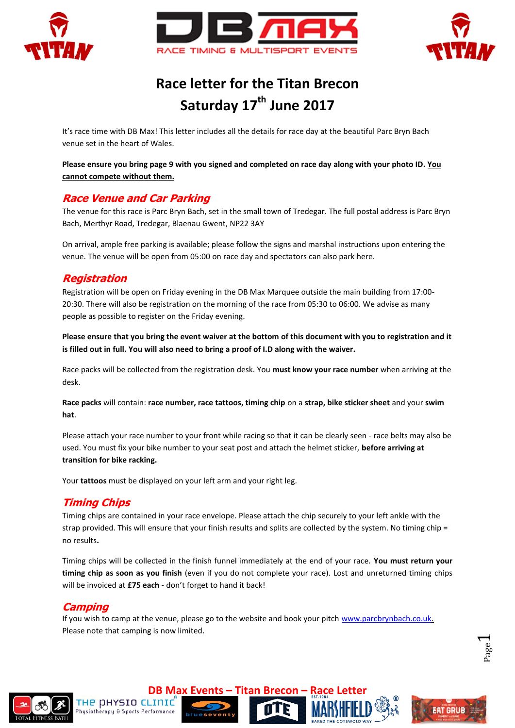





# **Race letter for the Titan Brecon Saturday 17th June 2017**

It's race time with DB Max! This letter includes all the details for race day at the beautiful Parc Bryn Bach venue set in the heart of Wales.

**Please ensure you bring page 9 with you signed and completed on race day along with your photo ID. You cannot compete without them.**

## **Race Venue and Car Parking**

The venue for this race is Parc Bryn Bach, set in the small town of Tredegar. The full postal address is Parc Bryn Bach, Merthyr Road, Tredegar, Blaenau Gwent, NP22 3AY

On arrival, ample free parking is available; please follow the signs and marshal instructions upon entering the venue. The venue will be open from 05:00 on race day and spectators can also park here.

## **Registration**

Registration will be open on Friday evening in the DB Max Marquee outside the main building from 17:00- 20:30. There will also be registration on the morning of the race from 05:30 to 06:00. We advise as many people as possible to register on the Friday evening.

**Please ensure that you bring the event waiver at the bottom of this document with you to registration and it is filled out in full. You will also need to bring a proof of I.D along with the waiver.**

Race packs will be collected from the registration desk. You **must know your race number** when arriving at the desk.

**Race packs** will contain: **race number, race tattoos, timing chip** on a **strap, bike sticker sheet** and your **swim hat**.

Please attach your race number to your front while racing so that it can be clearly seen - race belts may also be used. You must fix your bike number to your seat post and attach the helmet sticker, **before arriving at transition for bike racking.** 

Your **tattoos** must be displayed on your left arm and your right leg.

## **Timing Chips**

Timing chips are contained in your race envelope. Please attach the chip securely to your left ankle with the strap provided. This will ensure that your finish results and splits are collected by the system. No timing chip = no results**.**

Timing chips will be collected in the finish funnel immediately at the end of your race. **You must return your timing chip as soon as you finish** (even if you do not complete your race). Lost and unreturned timing chips will be invoiced at **£75 each** - don't forget to hand it back!

#### **Camping**

If you wish to camp at the venue, please go to the website and book your pitc[h www.parcbrynbach.co.uk.](http://www.parcbrynbach.co.uk/) Please note that camping is now limited.

Page  $\overline{\phantom{0}}$ 

**EAT GRUB** 





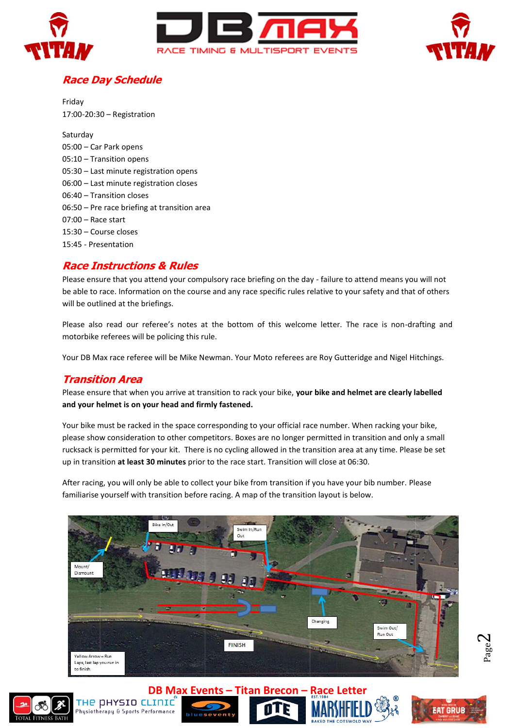



# **Race Day Schedule**

Friday 17:00-20:30 – Registration

Saturday 05:00 – Car Park opens 05:10 – Transition opens 05:30 – Last minute registration opens 06:00 – Last minute registration closes 06:40 – Transition closes 06:50 – Pre race briefing at transition area 07:00 – Race start 15:30 – Course closes 15:45 - Presentation

## **Race Instructions & Rules**

Please ensure that you attend your compulsory race briefing on the day - failure to attend means you will not be able to race. Information on the course and any race specific rules relative to your safety and that of others will be outlined at the briefings.

Please also read our referee's notes at the bottom of this welcome letter. The race is non-drafting and motorbike referees will be policing this rule.

Your DB Max race referee will be Mike Newman. Your Moto referees are Roy Gutteridge and Nigel Hitchings.

#### **Transition Area**

Please ensure that when you arrive at transition to rack your bike, **your bike and helmet are clearly labelled and your helmet is on your head and firmly fastened.**

Your bike must be racked in the space corresponding to your official race number. When racking your bike, please show consideration to other competitors. Boxes are no longer permitted in transition and only a small rucksack is permitted for your kit. There is no cycling allowed in the transition area at any time. Please be set up in transition **at least 30 minutes** prior to the race start. Transition will close at 06:30.

After racing, you will only be able to collect your bike from transition if you have your bib number. Please familiarise yourself with transition before racing. A map of the transition layout is below.













Page  $\sim$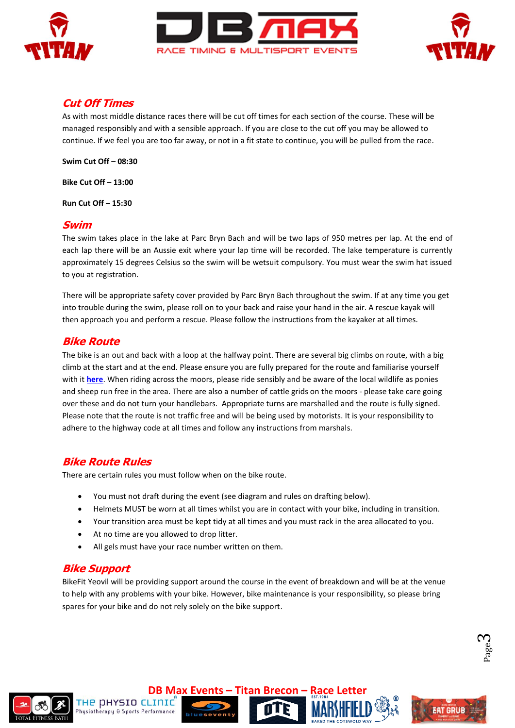





#### **Cut Off Times**

As with most middle distance races there will be cut off times for each section of the course. These will be managed responsibly and with a sensible approach. If you are close to the cut off you may be allowed to continue. If we feel you are too far away, or not in a fit state to continue, you will be pulled from the race.

**Swim Cut Off – 08:30**

**Bike Cut Off – 13:00**

**Run Cut Off – 15:30**

#### **Swim**

The swim takes place in the lake at Parc Bryn Bach and will be two laps of 950 metres per lap. At the end of each lap there will be an Aussie exit where your lap time will be recorded. The lake temperature is currently approximately 15 degrees Celsius so the swim will be wetsuit compulsory. You must wear the swim hat issued to you at registration.

There will be appropriate safety cover provided by Parc Bryn Bach throughout the swim. If at any time you get into trouble during the swim, please roll on to your back and raise your hand in the air. A rescue kayak will then approach you and perform a rescue. Please follow the instructions from the kayaker at all times.

#### **Bike Route**

The bike is an out and back with a loop at the halfway point. There are several big climbs on route, with a big climb at the start and at the end. Please ensure you are fully prepared for the route and familiarise yourself with it **[here](http://gb.mapometer.com/cycling/route_3886563.html)**. When riding across the moors, please ride sensibly and be aware of the local wildlife as ponies and sheep run free in the area. There are also a number of cattle grids on the moors - please take care going over these and do not turn your handlebars. Appropriate turns are marshalled and the route is fully signed. Please note that the route is not traffic free and will be being used by motorists. It is your responsibility to adhere to the highway code at all times and follow any instructions from marshals.

#### **Bike Route Rules**

There are certain rules you must follow when on the bike route.

- You must not draft during the event (see diagram and rules on drafting below).
- Helmets MUST be worn at all times whilst you are in contact with your bike, including in transition.
- Your transition area must be kept tidy at all times and you must rack in the area allocated to you.
- At no time are you allowed to drop litter.
- All gels must have your race number written on them.

## **Bike Support**

BikeFit Yeovil will be providing support around the course in the event of breakdown and will be at the venue to help with any problems with your bike. However, bike maintenance is your responsibility, so please bring spares for your bike and do not rely solely on the bike support.











Page  $\infty$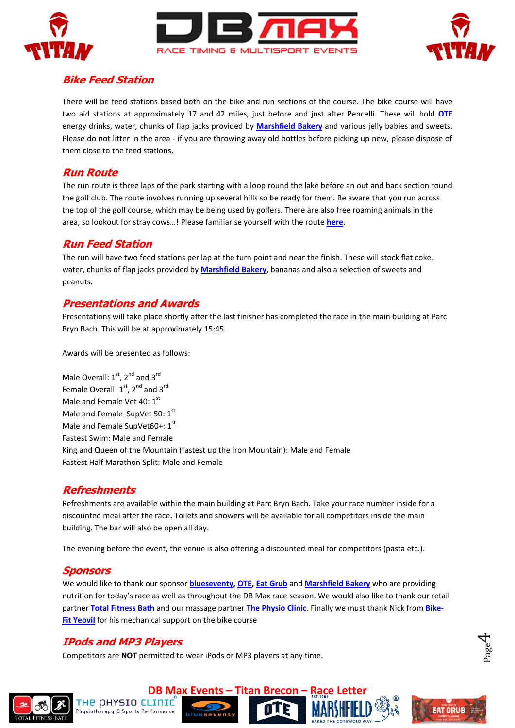





## **Bike Feed Station**

There will be feed stations based both on the bike and run sections of the course. The bike course will have two aid stations at approximately 17 and 42 miles, just before and just after Pencelli. These will hold **[OTE](https://www.otesports.co.uk/product-category/drinks/energy-drinks/)** energy drinks, water, chunks of flap jacks provided by **[Marshfield Bakery](http://www.marshfieldbakery.co.uk/)** and various jelly babies and sweets. Please do not litter in the area - if you are throwing away old bottles before picking up new, please dispose of them close to the feed stations.

#### **Run Route**

The run route is three laps of the park starting with a loop round the lake before an out and back section round the golf club. The route involves running up several hills so be ready for them. Be aware that you run across the top of the golf course, which may be being used by golfers. There are also free roaming animals in the area, so lookout for stray cows…! Please familiarise yourself with the route **[here](http://gb.mapometer.com/running/route_3703131.html)**.

#### **Run Feed Station**

The run will have two feed stations per lap at the turn point and near the finish. These will stock flat coke, water, chunks of flap jacks provided by **[Marshfield Bakery](http://www.marshfieldbakery.co.uk/)**, bananas and also a selection of sweets and peanuts.

## **Presentations and Awards**

Presentations will take place shortly after the last finisher has completed the race in the main building at Parc Bryn Bach. This will be at approximately 15:45.

Awards will be presented as follows:

Male Overall:  $1<sup>st</sup>$ ,  $2<sup>nd</sup>$  and  $3<sup>rd</sup>$ Female Overall:  $1<sup>st</sup>$ ,  $2<sup>nd</sup>$  and  $3<sup>rd</sup>$ Male and Female Vet 40: 1st Male and Female SupVet 50: 1st Male and Female SupVet60+: 1st Fastest Swim: Male and Female King and Queen of the Mountain (fastest up the Iron Mountain): Male and Female Fastest Half Marathon Split: Male and Female

## **Refreshments**

Refreshments are available within the main building at Parc Bryn Bach. Take your race number inside for a discounted meal after the race**.** Toilets and showers will be available for all competitors inside the main building. The bar will also be open all day.

The evening before the event, the venue is also offering a discounted meal for competitors (pasta etc.).

## **Sponsors**

We would like to thank our sponsor **[blueseventy,](https://www.blueseventy.co.uk/) [OTE,](https://www.otesports.co.uk/product-category/drinks/energy-drinks/) [Eat Grub](http://www.eatgrub.co.uk/)** and **[Marshfield Bakery](http://www.marshfieldbakery.co.uk/)** who are providing nutrition for today's race as well as throughout the DB Max race season. We would also like to thank our retail partner **[Total Fitness Bath](https://totalfitnessbath.co.uk/)** and our massage partner **[The Physio Clinic](https://www.thephysioclinicbristol.co.uk/)**. Finally we must thank Nick from **[Bike-](http://www.bikefityeovil.co.uk/)[Fit Yeovil](http://www.bikefityeovil.co.uk/)** for his mechanical support on the bike course

## **IPods and MP3 Players**

THE DHYSIO CLINIC

husiotherapu & Sports Performance

Competitors are **NOT** permitted to wear iPods or MP3 players at any time.

**DB Max Events – Titan Brecon –** 





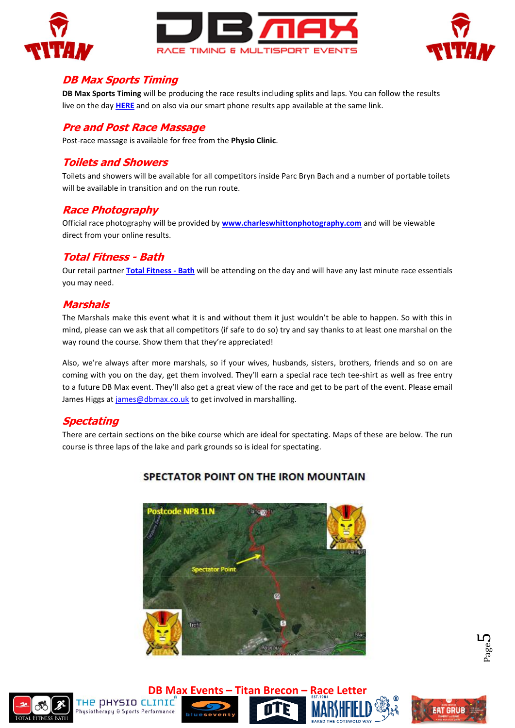





#### **DB Max Sports Timing**

**DB Max Sports Timing** will be producing the race results including splits and laps. You can follow the results live on the day **[HERE](http://dbmaxresults.co.uk/results.aspx?CId=16421&RId=6162)** and on also via our smart phone results app available at the same link.

#### **Pre and Post Race Massage**

Post-race massage is available for free from the **Physio Clinic**.

#### **Toilets and Showers**

Toilets and showers will be available for all competitors inside Parc Bryn Bach and a number of portable toilets will be available in transition and on the run route.

#### **Race Photography**

Official race photography will be provided by **[www.charleswhittonphotography.com](http://www.charleswhittonphotography.com/)** and will be viewable direct from your online results.

#### **Total Fitness - Bath**

Our retail partner **[Total Fitness -](https://totalfitnessbath.co.uk/) Bath** will be attending on the day and will have any last minute race essentials you may need.

#### **Marshals**

The Marshals make this event what it is and without them it just wouldn't be able to happen. So with this in mind, please can we ask that all competitors (if safe to do so) try and say thanks to at least one marshal on the way round the course. Show them that they're appreciated!

Also, we're always after more marshals, so if your wives, husbands, sisters, brothers, friends and so on are coming with you on the day, get them involved. They'll earn a special race tech tee-shirt as well as free entry to a future DB Max event. They'll also get a great view of the race and get to be part of the event. Please email James Higgs a[t james@dbmax.co.uk](mailto:james@dbmax.co.uk) to get involved in marshalling.

#### **Spectating**

There are certain sections on the bike course which are ideal for spectating. Maps of these are below. The run course is three laps of the lake and park grounds so is ideal for spectating.



## SPECTATOR POINT ON THE IRON MOUNTAIN







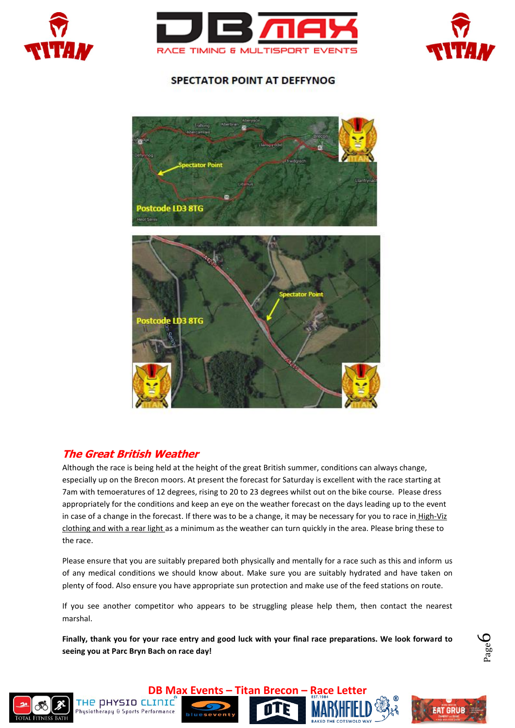





# **SPECTATOR POINT AT DEFFYNOG**



## **The Great British Weather**

THE DHYSIO CLINIC

hysiotherapy & Sports Performance

Although the race is being held at the height of the great British summer, conditions can always change, especially up on the Brecon moors. At present the forecast for Saturday is excellent with the race starting at 7am with temoeratures of 12 degrees, rising to 20 to 23 degrees whilst out on the bike course. Please dress appropriately for the conditions and keep an eye on the weather forecast on the days leading up to the event in case of a change in the forecast. If there was to be a change, it may be necessary for you to race in High-Viz clothing and with a rear light as a minimum as the weather can turn quickly in the area. Please bring these to the race.

Please ensure that you are suitably prepared both physically and mentally for a race such as this and inform us of any medical conditions we should know about. Make sure you are suitably hydrated and have taken on plenty of food. Also ensure you have appropriate sun protection and make use of the feed stations on route.

If you see another competitor who appears to be struggling please help them, then contact the nearest marshal.

**Finally, thank you for your race entry and good luck with your final race preparations. We look forward to seeing you at Parc Bryn Bach on race day!**

Ш





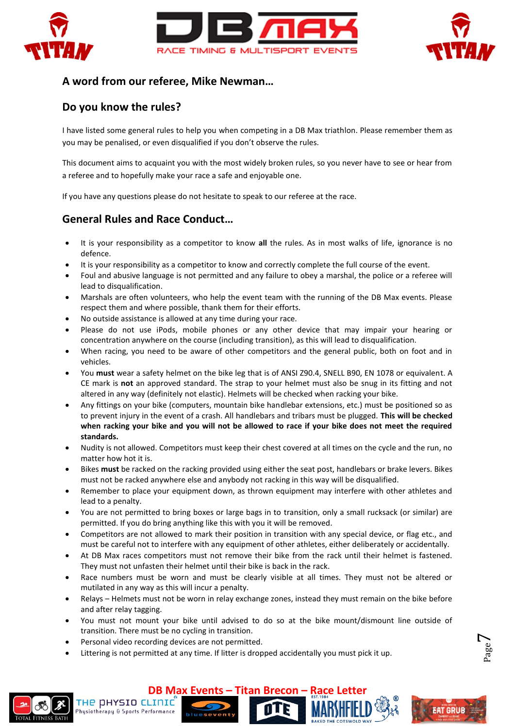



## **A word from our referee, Mike Newman…**

#### **Do you know the rules?**

I have listed some general rules to help you when competing in a DB Max triathlon. Please remember them as you may be penalised, or even disqualified if you don't observe the rules.

This document aims to acquaint you with the most widely broken rules, so you never have to see or hear from a referee and to hopefully make your race a safe and enjoyable one.

If you have any questions please do not hesitate to speak to our referee at the race.

## **General Rules and Race Conduct…**

- It is your responsibility as a competitor to know **all** the rules. As in most walks of life, ignorance is no defence.
- It is your responsibility as a competitor to know and correctly complete the full course of the event.
- Foul and abusive language is not permitted and any failure to obey a marshal, the police or a referee will lead to disqualification.
- Marshals are often volunteers, who help the event team with the running of the DB Max events. Please respect them and where possible, thank them for their efforts.
- No outside assistance is allowed at any time during your race.
- Please do not use iPods, mobile phones or any other device that may impair your hearing or concentration anywhere on the course (including transition), as this will lead to disqualification.
- When racing, you need to be aware of other competitors and the general public, both on foot and in vehicles.
- You **must** wear a safety helmet on the bike leg that is of ANSI Z90.4, SNELL B90, EN 1078 or equivalent. A CE mark is **not** an approved standard. The strap to your helmet must also be snug in its fitting and not altered in any way (definitely not elastic). Helmets will be checked when racking your bike.
- Any fittings on your bike (computers, mountain bike handlebar extensions, etc.) must be positioned so as to prevent injury in the event of a crash. All handlebars and tribars must be plugged. **This will be checked when racking your bike and you will not be allowed to race if your bike does not meet the required standards.**
- Nudity is not allowed. Competitors must keep their chest covered at all times on the cycle and the run, no matter how hot it is.
- Bikes **must** be racked on the racking provided using either the seat post, handlebars or brake levers. Bikes must not be racked anywhere else and anybody not racking in this way will be disqualified.
- Remember to place your equipment down, as thrown equipment may interfere with other athletes and lead to a penalty.
- You are not permitted to bring boxes or large bags in to transition, only a small rucksack (or similar) are permitted. If you do bring anything like this with you it will be removed.
- Competitors are not allowed to mark their position in transition with any special device, or flag etc., and must be careful not to interfere with any equipment of other athletes, either deliberately or accidentally.
- At DB Max races competitors must not remove their bike from the rack until their helmet is fastened. They must not unfasten their helmet until their bike is back in the rack.
- Race numbers must be worn and must be clearly visible at all times. They must not be altered or mutilated in any way as this will incur a penalty.
- Relays Helmets must not be worn in relay exchange zones, instead they must remain on the bike before and after relay tagging.
- You must not mount your bike until advised to do so at the bike mount/dismount line outside of transition. There must be no cycling in transition.
- Personal video recording devices are not permitted.

THE DHYSIO CLINIC

husiotherapu & Sports Performance

Littering is not permitted at any time. If litter is dropped accidentally you must pick it up.

**DB Max Events – Titan Brecon –** 





Page  $\overline{\phantom{a}}$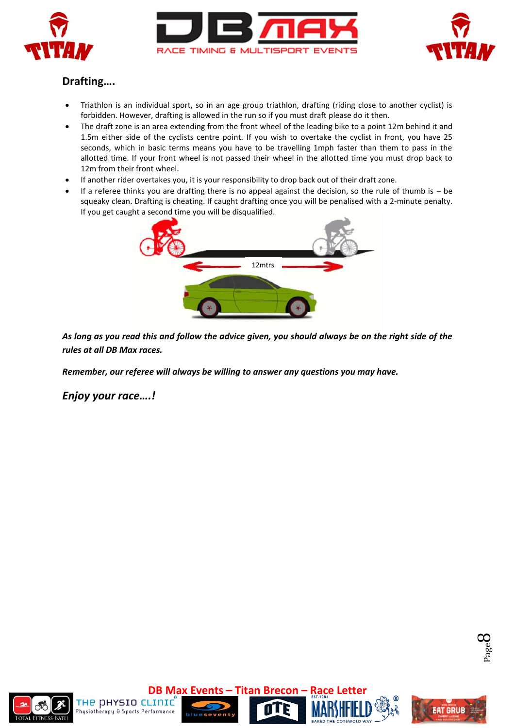





# **Drafting….**

- Triathlon is an individual sport, so in an age group triathlon, drafting (riding close to another cyclist) is forbidden. However, drafting is allowed in the run so if you must draft please do it then.
- The draft zone is an area extending from the front wheel of the leading bike to a point 12m behind it and 1.5m either side of the cyclists centre point. If you wish to overtake the cyclist in front, you have 25 seconds, which in basic terms means you have to be travelling 1mph faster than them to pass in the allotted time. If your front wheel is not passed their wheel in the allotted time you must drop back to 12m from their front wheel.
- If another rider overtakes you, it is your responsibility to drop back out of their draft zone.
- If a referee thinks you are drafting there is no appeal against the decision, so the rule of thumb is be squeaky clean. Drafting is cheating. If caught drafting once you will be penalised with a 2-minute penalty. If you get caught a second time you will be disqualified.



*As long as you read this and follow the advice given, you should always be on the right side of the rules at all DB Max races.*

*Remember, our referee will always be willing to answer any questions you may have.*

*Enjoy your race….!*